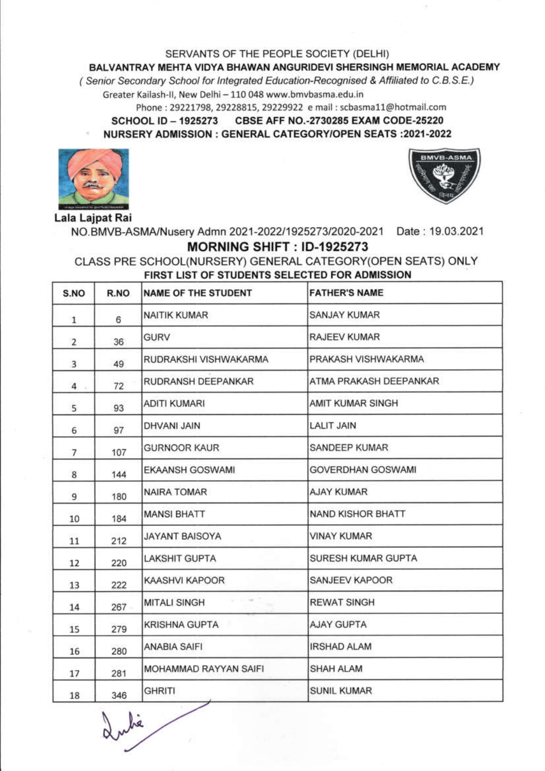SERVANTS OF THE PEOPLE SOCIETY (DELHI)

## BALVANTRAY MEHTA VIDYA BHAWAN ANGURIDEVI SHERSINGH MEMORIAL ACADEMY

(Senior Secondary School for Integrated Education-Recognised & Affiliated to C.B.S.E.)

Greater Kailash-II, New Delhi - 110 048 www.bmvbasma.edu.in

Phone: 29221798, 29228815, 29229922 e mail: scbasma11@hotmail.com

**SCHOOL ID - 1925273** CBSE AFF NO.-2730285 EXAM CODE-25220 NURSERY ADMISSION : GENERAL CATEGORY/OPEN SEATS : 2021-2022





Lala Lajpat Rai

NO.BMVB-ASMA/Nusery Admn 2021-2022/1925273/2020-2021 Date: 19.03.2021 MORNING SHIFT: ID-1925273

## CLASS PRE SCHOOL(NURSERY) GENERAL CATEGORY(OPEN SEATS) ONLY FIRST LIST OF STUDENTS SELECTED FOR ADMISSION

| S.NO           | R.NO | <b>NAME OF THE STUDENT</b> | <b>FATHER'S NAME</b>     |
|----------------|------|----------------------------|--------------------------|
| $\mathbf{1}$   | 6    | NAITIK KUMAR               | <b>SANJAY KUMAR</b>      |
| $\overline{2}$ | 36   | <b>GURV</b>                | RAJEEV KUMAR             |
| 3              | 49   | RUDRAKSHI VISHWAKARMA      | PRAKASH VISHWAKARMA      |
| 4              | 72   | RUDRANSH DEEPANKAR         | ATMA PRAKASH DEEPANKAR   |
| 5              | 93   | <b>ADITI KUMARI</b>        | AMIT KUMAR SINGH         |
| 6              | 97   | DHVANI JAIN                | <b>LALIT JAIN</b>        |
| $\overline{7}$ | 107  | <b>GURNOOR KAUR</b>        | SANDEEP KUMAR            |
| 8              | 144  | EKAANSH GOSWAMI            | GOVERDHAN GOSWAMI        |
| 9              | 180  | NAIRA TOMAR                | <b>AJAY KUMAR</b>        |
| 10             | 184  | <b>MANSI BHATT</b>         | <b>NAND KISHOR BHATT</b> |
| 11             | 212  | <b>JAYANT BAISOYA</b>      | <b>VINAY KUMAR</b>       |
| 12             | 220  | LAKSHIT GUPTA              | SURESH KUMAR GUPTA       |
| 13             | 222  | KAASHVI KAPOOR             | SANJEEV KAPOOR           |
| 14             | 267  | <b>MITALI SINGH</b>        | <b>REWAT SINGH</b>       |
| 15             | 279  | KRISHNA GUPTA              | <b>AJAY GUPTA</b>        |
| 16             | 280  | ANABIA SAIFI               | <b>IRSHAD ALAM</b>       |
| 17             | 281  | MOHAMMAD RAYYAN SAIFI      | SHAH ALAM                |
| 18             | 346  | <b>GHRITI</b>              | SUNIL KUMAR              |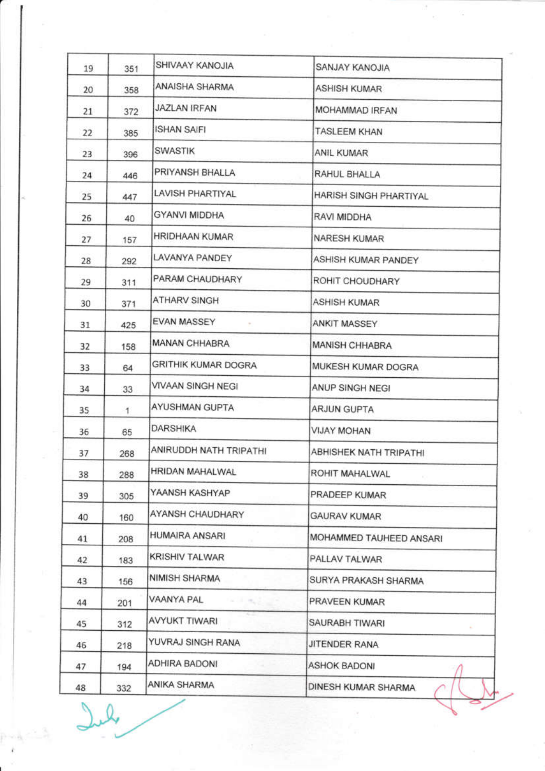| 19 | 351          | SHIVAAY KANOJIA            | SANJAY KANOJIA          |
|----|--------------|----------------------------|-------------------------|
| 20 | 358          | ANAISHA SHARMA             | <b>ASHISH KUMAR</b>     |
| 21 | 372          | JAZLAN IRFAN               | MOHAMMAD IRFAN          |
| 22 | 385          | <b>ISHAN SAIFI</b>         | <b>TASLEEM KHAN</b>     |
| 23 | 396          | <b>SWASTIK</b>             | ANIL KUMAR              |
| 24 | 446          | PRIYANSH BHALLA            | RAHUL BHALLA            |
| 25 | 447          | <b>LAVISH PHARTIYAL</b>    | HARISH SINGH PHARTIYAL  |
| 26 | 40           | <b>GYANVI MIDDHA</b>       | RAVI MIDDHA             |
| 27 | 157          | HRIDHAAN KUMAR             | <b>NARESH KUMAR</b>     |
| 28 | 292          | LAVANYA PANDEY             | ASHISH KUMAR PANDEY     |
| 29 | 311          | PARAM CHAUDHARY            | ROHIT CHOUDHARY         |
| 30 | 371          | ATHARV SINGH               | <b>ASHISH KUMAR</b>     |
| 31 | 425          | EVAN MASSEY                | ANKIT MASSEY            |
| 32 | 158          | <b>MANAN CHHABRA</b>       | MANISH CHHABRA          |
| 33 | 64           | GRITHIK KUMAR DOGRA        | MUKESH KUMAR DOGRA      |
| 34 | 33           | VIVAAN SINGH NEGI          | ANUP SINGH NEGI         |
| 35 | $\mathbf{1}$ | AYUSHMAN GUPTA             | <b>ARJUN GUPTA</b>      |
| 36 | 65           | DARSHIKA                   | <b>VIJAY MOHAN</b>      |
| 37 | 268          | ANIRUDDH NATH TRIPATHI     | ABHISHEK NATH TRIPATHI  |
| 38 | 288          | HRIDAN MAHALWAL            | ROHIT MAHALWAL          |
| 39 | 305          | YAANSH KASHYAP             | PRADEEP KUMAR           |
| 40 | 160          | AYANSH CHAUDHARY           | GAURAV KUMAR            |
| 41 | 208          | HUMAIRA ANSARI             | MOHAMMED TAUHEED ANSARI |
| 42 | 183          | <b>KRISHIV TALWAR</b>      | PALLAV TALWAR           |
| 43 | 156          | NIMISH SHARMA              | SURYA PRAKASH SHARMA    |
| 44 | 201          | VAANYA PAL<br><b>STATE</b> | PRAVEEN KUMAR           |
| 45 | 312          | AVYUKT TIWARI              | SAURABH TIWARI          |
| 46 | 218          | YUVRAJ SINGH RANA          | JITENDER RANA           |
| 47 |              | ADHIRA BADONI              | <b>ASHOK BADONI</b>     |
|    | 194          |                            |                         |

T.,

 $\overline{u}$ 

 $\overline{\mathcal{O}}$ 

 $\frac{p - k - 3}{k}$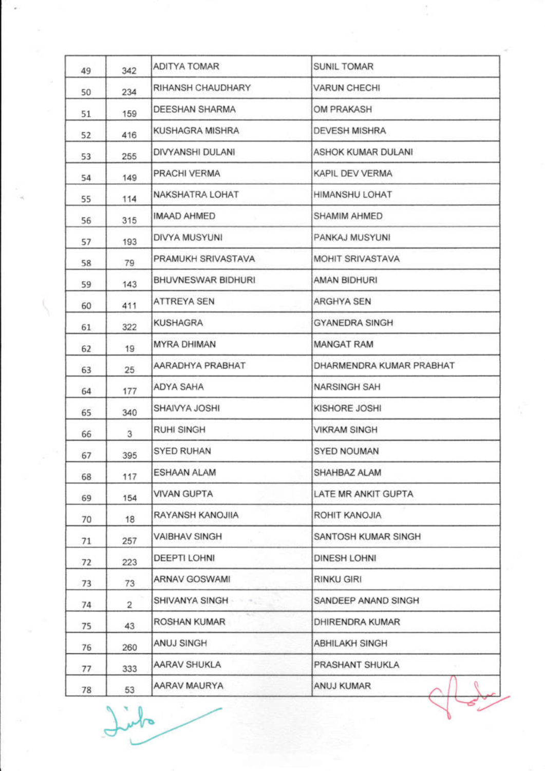| 49 | 342 | ADITYA TOMAR       | <b>SUNIL TOMAR</b>       |
|----|-----|--------------------|--------------------------|
| 50 | 234 | RIHANSH CHAUDHARY  | VARUN CHECHI             |
| 51 | 159 | DEESHAN SHARMA     | OM PRAKASH               |
| 52 | 416 | KUSHAGRA MISHRA    | <b>DEVESH MISHRA</b>     |
| 53 | 255 | DIVYANSHI DULANI   | ASHOK KUMAR DULANI       |
| 54 | 149 | PRACHI VERMA       | KAPIL DEV VERMA          |
| 55 | 114 | NAKSHATRA LOHAT    | HIMANSHU LOHAT           |
| 56 | 315 | IMAAD AHMED        | SHAMIM AHMED             |
| 57 | 193 | DIVYA MUSYUNI      | PANKAJ MUSYUNI           |
| 58 | 79  | PRAMUKH SRIVASTAVA | MOHIT SRIVASTAVA         |
| 59 | 143 | BHUVNESWAR BIDHURI | AMAN BIDHURI             |
| 60 | 411 | ATTREYA SEN        | ARGHYA SEN               |
| 61 | 322 | KUSHAGRA           | <b>GYANEDRA SINGH</b>    |
| 62 | 19  | MYRA DHIMAN        | <b>MANGAT RAM</b>        |
| 63 | 25  | AARADHYA PRABHAT   | DHARMENDRA KUMAR PRABHAT |
| 64 | 177 | ADYA SAHA          | <b>NARSINGH SAH</b>      |
| 65 | 340 | SHAIVYA JOSHI      | KISHORE JOSHI            |
| 66 | 3   | <b>RUHI SINGH</b>  | <b>VIKRAM SINGH</b>      |
| 67 | 395 | SYED RUHAN         | SYED NOUMAN              |
| 68 | 117 | ESHAAN ALAM        | SHAHBAZ ALAM             |
| 69 | 154 | <b>VIVAN GUPTA</b> | LATE MR ANKIT GUPTA      |
| 70 | 18  | RAYANSH KANOJIIA   | ROHIT KANOJIA            |
| 71 | 257 | VAIBHAV SINGH      | SANTOSH KUMAR SINGH      |
| 72 | 223 | DEEPTI LOHNI       | DINESH LOHNI             |
| 73 | 73  | ARNAV GOSWAMI      | <b>RINKU GIRI</b>        |
| 74 | 2   | SHIVANYA SINGH     | SANDEEP ANAND SINGH      |
| 75 | 43  | w<br>ROSHAN KUMAR  | DHIRENDRA KUMAR          |
| 76 | 260 | ANUJ SINGH         | ABHILAKH SINGH           |
| 77 | 333 | AARAV SHUKLA       | PRASHANT SHUKLA          |
| 78 | 53  | AARAV MAURYA       | ANUJ KUMAR               |

it.<br>Van

V

Iinto